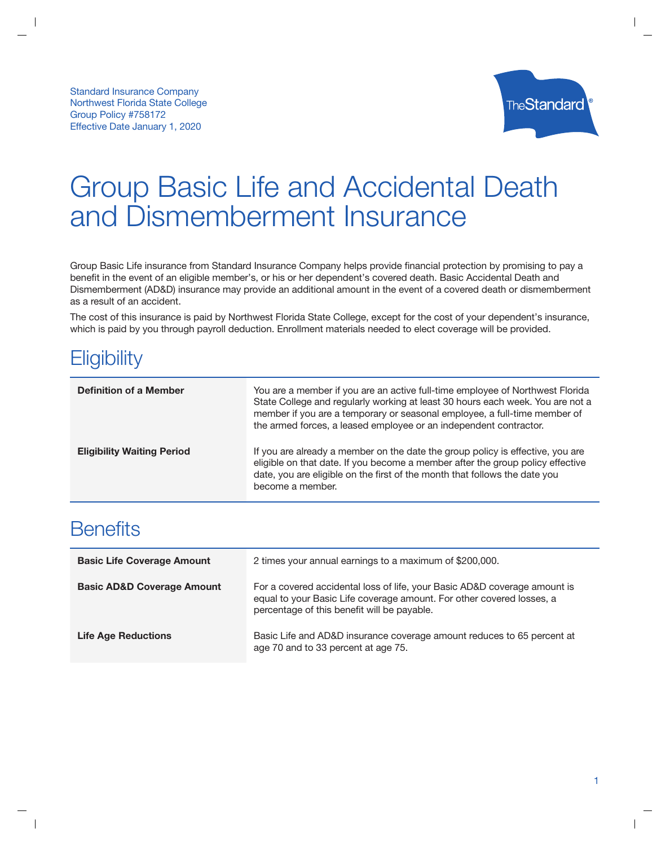

# **Group Basic Life and Accidental Death** and Dismemberment Insurance

Group Basic Life insurance from Standard Insurance Company helps provide financial protection by promising to pay a benefit in the event of an eligible member's, or his or her dependent's covered death. Basic Accidental Death and Dismemberment (AD&D) insurance may provide an additional amount in the event of a covered death or dismemberment as a result of an accident.

The cost of this insurance is paid by Northwest Florida State College, except for the cost of your dependent's insurance, which is paid by you through payroll deduction. Enrollment materials needed to elect coverage will be provided.

## Eligibility

| <b>Definition of a Member</b>     | You are a member if you are an active full-time employee of Northwest Florida<br>State College and regularly working at least 30 hours each week. You are not a<br>member if you are a temporary or seasonal employee, a full-time member of<br>the armed forces, a leased employee or an independent contractor. |
|-----------------------------------|-------------------------------------------------------------------------------------------------------------------------------------------------------------------------------------------------------------------------------------------------------------------------------------------------------------------|
| <b>Eligibility Waiting Period</b> | If you are already a member on the date the group policy is effective, you are<br>eligible on that date. If you become a member after the group policy effective<br>date, you are eligible on the first of the month that follows the date you<br>become a member.                                                |

### **Benefits**

| <b>Basic Life Coverage Amount</b>     | 2 times your annual earnings to a maximum of \$200,000.                                                                                                                                           |
|---------------------------------------|---------------------------------------------------------------------------------------------------------------------------------------------------------------------------------------------------|
| <b>Basic AD&amp;D Coverage Amount</b> | For a covered accidental loss of life, your Basic AD&D coverage amount is<br>equal to your Basic Life coverage amount. For other covered losses, a<br>percentage of this benefit will be payable. |
| <b>Life Age Reductions</b>            | Basic Life and AD&D insurance coverage amount reduces to 65 percent at<br>age 70 and to 33 percent at age 75.                                                                                     |